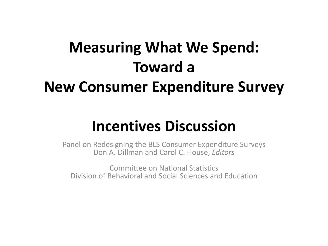#### **Measuring What We Spend: Toward a New Consumer Expenditure Survey**

#### **Incentives Discussion**

Panel on Redesigning the BLS Consumer Expenditure Surveys Don A. Dillman and Carol C. House, *Editors* Committee on National Statistics

Division of Behavioral and Social Sciences and Education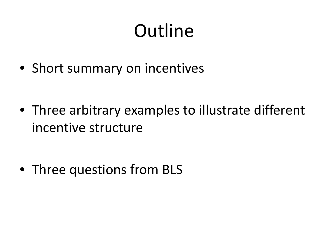# **Outline**

• Short summary on incentives

• Three arbitrary examples to illustrate different incentive structure

• Three questions from BLS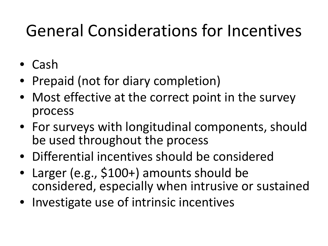#### General Considerations for Incentives

- Cash
- Prepaid (not for diary completion)
- Most effective at the correct point in the survey process
- For surveys with longitudinal components, should be used throughout the process
- Differential incentives should be considered
- Larger (e.g., \$100+) amounts should be considered, especially when intrusive or sustained
- Investigate use of intrinsic incentives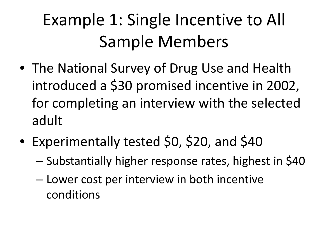## Example 1: Single Incentive to All Sample Members

- The National Survey of Drug Use and Health introduced a \$30 promised incentive in 2002, for completing an interview with the selected adult
- Experimentally tested \$0, \$20, and \$40
	- Substantially higher response rates, highest in \$40
	- Lower cost per interview in both incentive conditions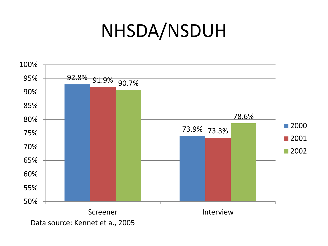### NHSDA/NSDUH

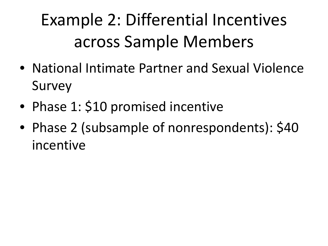### Example 2: Differential Incentives across Sample Members

- National Intimate Partner and Sexual Violence Survey
- Phase 1: \$10 promised incentive
- Phase 2 (subsample of nonrespondents): \$40 incentive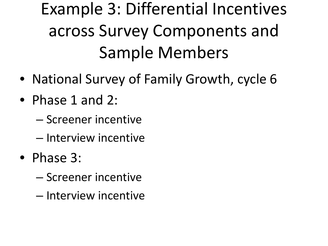## Example 3: Differential Incentives across Survey Components and Sample Members

- National Survey of Family Growth, cycle 6
- Phase 1 and 2:
	- Screener incentive
	- Interview incentive
- Phase 3:
	- Screener incentive
	- Interview incentive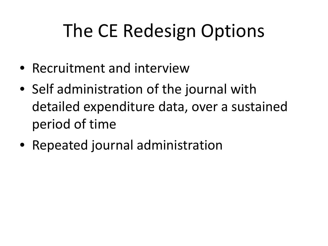# The CE Redesign Options

- Recruitment and interview
- Self administration of the journal with detailed expenditure data, over a sustained period of time
- Repeated journal administration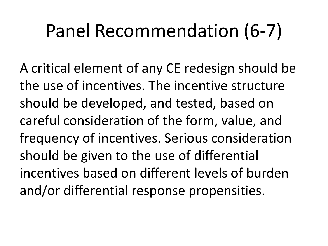# Panel Recommendation (6-7)

A critical element of any CE redesign should be the use of incentives. The incentive structure should be developed, and tested, based on careful consideration of the form, value, and frequency of incentives. Serious consideration should be given to the use of differential incentives based on different levels of burden and/or differential response propensities.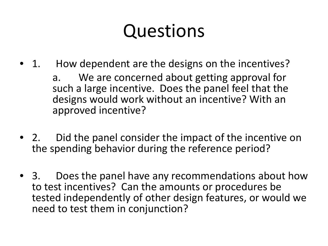# Questions

- 1. How dependent are the designs on the incentives? a. We are concerned about getting approval for such a large incentive. Does the panel feel that the designs would work without an incentive? With an approved incentive?
- 2. Did the panel consider the impact of the incentive on the spending behavior during the reference period?
- 3. Does the panel have any recommendations about how to test incentives? Can the amounts or procedures be tested independently of other design features, or would we need to test them in conjunction?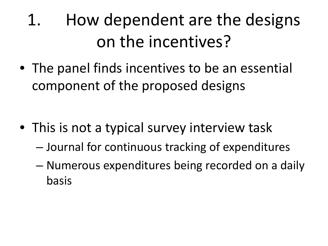1. How dependent are the designs on the incentives?

• The panel finds incentives to be an essential component of the proposed designs

- This is not a typical survey interview task
	- Journal for continuous tracking of expenditures
	- Numerous expenditures being recorded on a daily basis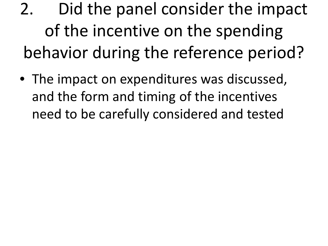- 2. Did the panel consider the impact of the incentive on the spending behavior during the reference period?
- The impact on expenditures was discussed, and the form and timing of the incentives need to be carefully considered and tested